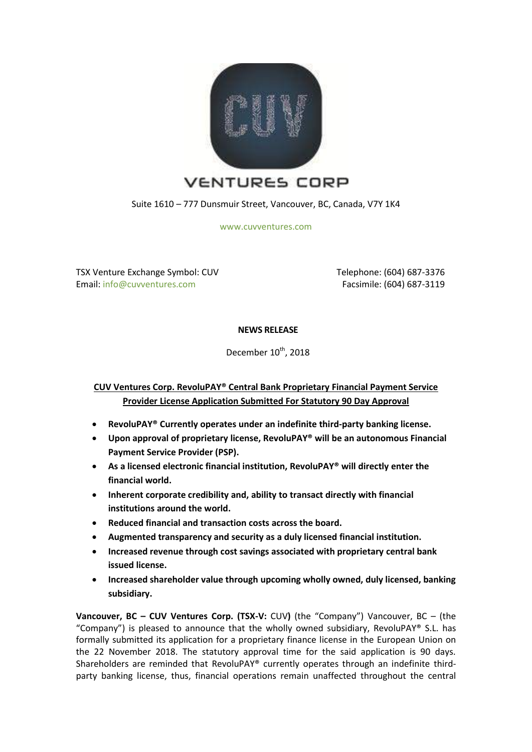

Suite 1610 – 777 Dunsmuir Street, Vancouver, BC, Canada, V7Y 1K4

[www.cuvventures.com](http://www.cuvventures.com/)

TSX Venture Exchange Symbol: CUV Email: [info@cuvventures.com](mailto:info@cuvventures.com)

 Telephone: (604) 687-3376 Facsimile: (604) 687-3119

### **NEWS RELEASE**

December 10<sup>th</sup>, 2018

# **CUV Ventures Corp. RevoluPAY® Central Bank Proprietary Financial Payment Service Provider License Application Submitted For Statutory 90 Day Approval**

- **RevoluPAY® Currently operates under an indefinite third-party banking license.**
- **Upon approval of proprietary license, RevoluPAY® will be an autonomous Financial Payment Service Provider (PSP).**
- **As a licensed electronic financial institution, RevoluPAY® will directly enter the financial world.**
- **Inherent corporate credibility and, ability to transact directly with financial institutions around the world.**
- **Reduced financial and transaction costs across the board.**
- **Augmented transparency and security as a duly licensed financial institution.**
- **Increased revenue through cost savings associated with proprietary central bank issued license.**
- **Increased shareholder value through upcoming wholly owned, duly licensed, banking subsidiary.**

**Vancouver, BC – CUV Ventures Corp. (TSX-V:** [CUV](http://web.tmxmoney.com/quote.php?qm_symbol=CUV)**)** (the "Company") Vancouver, BC – (the "Company") is pleased to announce that the wholly owned subsidiary, RevoluPAY® S.L. has formally submitted its application for a proprietary finance license in the European Union on the 22 November 2018. The statutory approval time for the said application is 90 days. Shareholders are reminded that RevoluPAY® currently operates through an indefinite thirdparty banking license, thus, financial operations remain unaffected throughout the central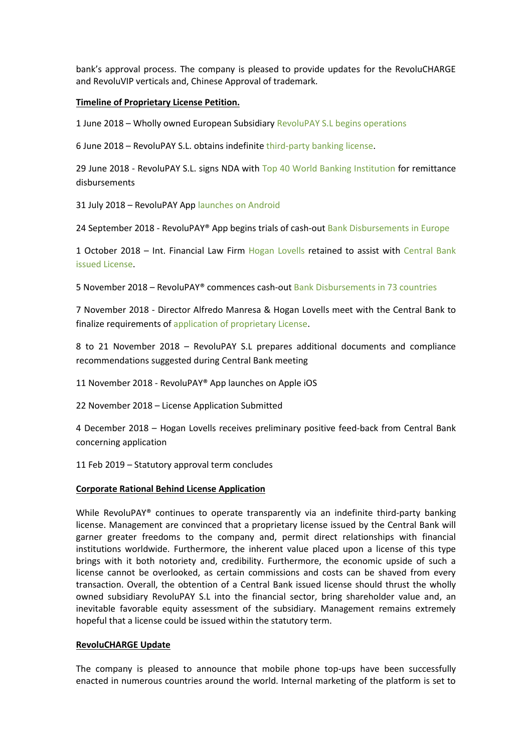bank's approval process. The company is pleased to provide updates for the RevoluCHARGE and RevoluVIP verticals and, Chinese Approval of trademark.

#### **Timeline of Proprietary License Petition.**

1 June 2018 – Wholly owned European Subsidiary [RevoluPAY S.L begins](https://www.cuvventures.com/assets/docs/2018-06-01-nr-cuv-23v3pr.pdf) operations

6 June 2018 – RevoluPAY S.L. obtains indefinite [third-party banking license.](https://www.cuvventures.com/assets/docs/2018-06-06_NR_CUV.pdf)

29 June 2018 - RevoluPAY S.L. signs NDA with [Top 40 World Banking Institution](https://www.cuvventures.com/assets/docs/2018-06-29-nr-cuv-97c743.pdf) for remittance disbursements

31 July 2018 – RevoluPAY Ap[p launches on Android](https://www.cuvventures.com/assets/docs/2018-07-31_NR_CUV_R8GGcYgR.pdf)

24 September 2018 - RevoluPAY® App begins trials of cash-ou[t Bank Disbursements in Europe](https://www.cuvventures.com/assets/docs/2018-09-24_NR_CUV_xxsUKd9C.pdf)

1 October 2018 – Int. Financial Law Firm [Hogan Lovells](https://www.hoganlovells.com/) retained to assist with Central Bank issued [License.](https://www.cuvventures.com/assets/docs/2018-10-01-nr-cuv-at3mqf.pdf)

5 November 2018 – RevoluPAY® commences cash-out [Bank Disbursements in 73 countries](https://www.cuvventures.com/assets/docs/11-05-18.pdf)

7 November 2018 - Director Alfredo Manresa & Hogan Lovells meet with the Central Bank to finalize requirements of [application of proprietary License.](https://www.cuvventures.com/assets/docs/11-05-18.pdf)

8 to 21 November 2018 – RevoluPAY S.L prepares additional documents and compliance recommendations suggested during Central Bank meeting

11 November 2018 - RevoluPAY® App launches on Apple iOS

22 November 2018 – License Application Submitted

4 December 2018 – Hogan Lovells receives preliminary positive feed-back from Central Bank concerning application

11 Feb 2019 – Statutory approval term concludes

#### **Corporate Rational Behind License Application**

While RevoluPAY<sup>®</sup> continues to operate transparently via an indefinite third-party banking license. Management are convinced that a proprietary license issued by the Central Bank will garner greater freedoms to the company and, permit direct relationships with financial institutions worldwide. Furthermore, the inherent value placed upon a license of this type brings with it both notoriety and, credibility. Furthermore, the economic upside of such a license cannot be overlooked, as certain commissions and costs can be shaved from every transaction. Overall, the obtention of a Central Bank issued license should thrust the wholly owned subsidiary RevoluPAY S.L into the financial sector, bring shareholder value and, an inevitable favorable equity assessment of the subsidiary. Management remains extremely hopeful that a license could be issued within the statutory term.

### **RevoluCHARGE Update**

The company is pleased to announce that mobile phone top-ups have been successfully enacted in numerous countries around the world. Internal marketing of the platform is set to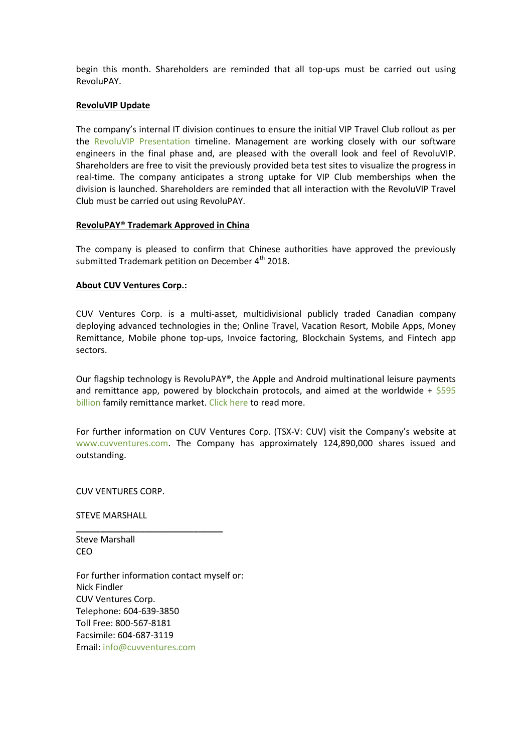begin this month. Shareholders are reminded that all top-ups must be carried out using RevoluPAY.

#### **RevoluVIP Update**

The company's internal IT division continues to ensure the initial VIP Travel Club rollout as per the [RevoluVIP Presentation](https://www.cuvventures.com/assets/docs/presentations/Presentation_RevoluVIP_2018.pdf) timeline. Management are working closely with our software engineers in the final phase and, are pleased with the overall look and feel of RevoluVIP. Shareholders are free to visit the previously provided beta test sites to visualize the progress in real-time. The company anticipates a strong uptake for VIP Club memberships when the division is launched. Shareholders are reminded that all interaction with the RevoluVIP Travel Club must be carried out using RevoluPAY.

#### **RevoluPAY**® **Trademark Approved in China**

The company is pleased to confirm that Chinese authorities have approved the previously submitted Trademark petition on December  $4<sup>th</sup>$  2018.

#### **About CUV Ventures Corp.:**

CUV Ventures Corp. is a multi-asset, multidivisional publicly traded Canadian company deploying advanced technologies in the; Online Travel, Vacation Resort, Mobile Apps, Money Remittance, Mobile phone top-ups, Invoice factoring, Blockchain Systems, and Fintech app sectors.

Our flagship technology is RevoluPAY®, the Apple and Android multinational leisure payments and remittance app, powered by blockchain protocols, and aimed at the worldwide +  $$595$ [billion](http://www.worldbank.org/en/topic/migrationremittancesdiasporaissues/brief/migration-remittances-data) family remittance market. [Click here](https://cuvventures.com/about/about-cuv-ventures) to read more.

For further information on CUV Ventures Corp. (TSX-V: CUV) visit the Company's website at [www.cuvventures.com.](http://www.cuvventures.com/) The Company has approximately 124,890,000 shares issued and outstanding.

CUV VENTURES CORP.

STEVE MARSHALL

Steve Marshall CEO

For further information contact myself or: Nick Findler CUV Ventures Corp. Telephone: 604-639-3850 Toll Free: 800-567-8181 Facsimile: 604-687-3119 Email: [info@cuvventures.com](mailto:info@cuvventures.com)

\_\_\_\_\_\_\_\_\_\_\_\_\_\_\_\_\_\_\_\_\_\_\_\_\_\_\_\_\_\_